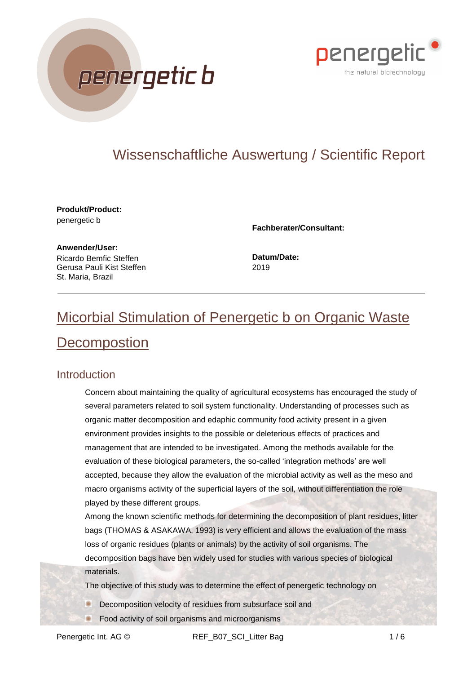



## Wissenschaftliche Auswertung / Scientific Report

**Produkt/Product:** penergetic b

**Fachberater/Consultant:**

**Anwender/User:** Ricardo Bemfic Steffen Gerusa Pauli Kist Steffen St. Maria, Brazil

**Datum/Date:** 2019

# Micorbial Stimulation of Penergetic b on Organic Waste **Decompostion**

#### Introduction

Concern about maintaining the quality of agricultural ecosystems has encouraged the study of several parameters related to soil system functionality. Understanding of processes such as organic matter decomposition and edaphic community food activity present in a given environment provides insights to the possible or deleterious effects of practices and management that are intended to be investigated. Among the methods available for the evaluation of these biological parameters, the so-called 'integration methods' are well accepted, because they allow the evaluation of the microbial activity as well as the meso and macro organisms activity of the superficial layers of the soil, without differentiation the role played by these different groups.

Among the known scientific methods for determining the decomposition of plant residues, litter bags (THOMAS & ASAKAWA, 1993) is very efficient and allows the evaluation of the mass loss of organic residues (plants or animals) by the activity of soil organisms. The decomposition bags have ben widely used for studies with various species of biological materials.

The objective of this study was to determine the effect of penergetic technology on

- Decomposition velocity of residues from subsurface soil and
	- Food activity of soil organisms and microorganisms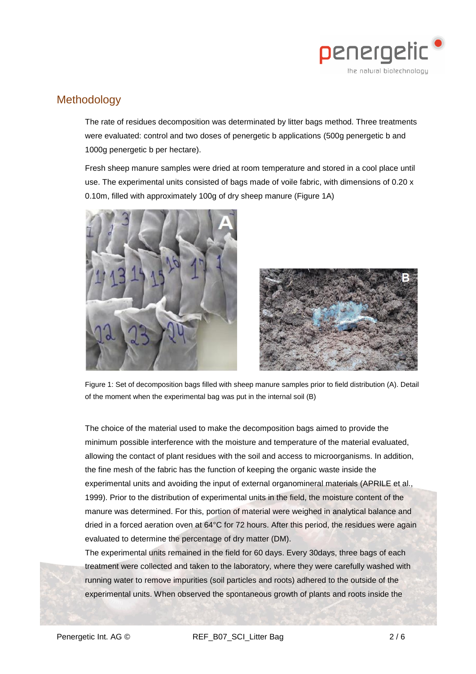

### **Methodology**

The rate of residues decomposition was determinated by litter bags method. Three treatments were evaluated: control and two doses of penergetic b applications (500g penergetic b and 1000g penergetic b per hectare).

Fresh sheep manure samples were dried at room temperature and stored in a cool place until use. The experimental units consisted of bags made of voile fabric, with dimensions of 0.20 x 0.10m, filled with approximately 100g of dry sheep manure (Figure 1A)





Figure 1: Set of decomposition bags filled with sheep manure samples prior to field distribution (A). Detail of the moment when the experimental bag was put in the internal soil (B)

The choice of the material used to make the decomposition bags aimed to provide the minimum possible interference with the moisture and temperature of the material evaluated, allowing the contact of plant residues with the soil and access to microorganisms. In addition, the fine mesh of the fabric has the function of keeping the organic waste inside the experimental units and avoiding the input of external organomineral materials (APRILE et al., 1999). Prior to the distribution of experimental units in the field, the moisture content of the manure was determined. For this, portion of material were weighed in analytical balance and dried in a forced aeration oven at 64°C for 72 hours. After this period, the residues were again evaluated to determine the percentage of dry matter (DM).

The experimental units remained in the field for 60 days. Every 30days, three bags of each treatment were collected and taken to the laboratory, where they were carefully washed with running water to remove impurities (soil particles and roots) adhered to the outside of the experimental units. When observed the spontaneous growth of plants and roots inside the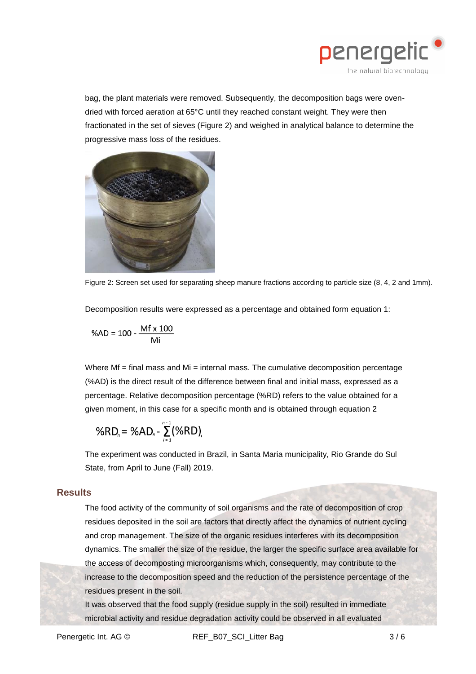

bag, the plant materials were removed. Subsequently, the decomposition bags were ovendried with forced aeration at 65°C until they reached constant weight. They were then fractionated in the set of sieves (Figure 2) and weighed in analytical balance to determine the progressive mass loss of the residues.



Figure 2: Screen set used for separating sheep manure fractions according to particle size (8, 4, 2 and 1mm).

Decomposition results were expressed as a percentage and obtained form equation 1:

$$
\%AD = 100 - \frac{Mf \times 100}{Mi}
$$

Where  $Mf =$  final mass and  $Mi =$  internal mass. The cumulative decomposition percentage (%AD) is the direct result of the difference between final and initial mass, expressed as a percentage. Relative decomposition percentage (%RD) refers to the value obtained for a given moment, in this case for a specific month and is obtained through equation 2

$$
\%RD_n = \%AD_n - \sum_{i=1}^{n-1} (%RD)_i
$$

The experiment was conducted in Brazil, in Santa Maria municipality, Rio Grande do Sul State, from April to June (Fall) 2019.

#### **Results**

The food activity of the community of soil organisms and the rate of decomposition of crop residues deposited in the soil are factors that directly affect the dynamics of nutrient cycling and crop management. The size of the organic residues interferes with its decomposition dynamics. The smaller the size of the residue, the larger the specific surface area available for the access of decomposting microorganisms which, consequently, may contribute to the increase to the decomposition speed and the reduction of the persistence percentage of the residues present in the soil.

It was observed that the food supply (residue supply in the soil) resulted in immediate microbial activity and residue degradation activity could be observed in all evaluated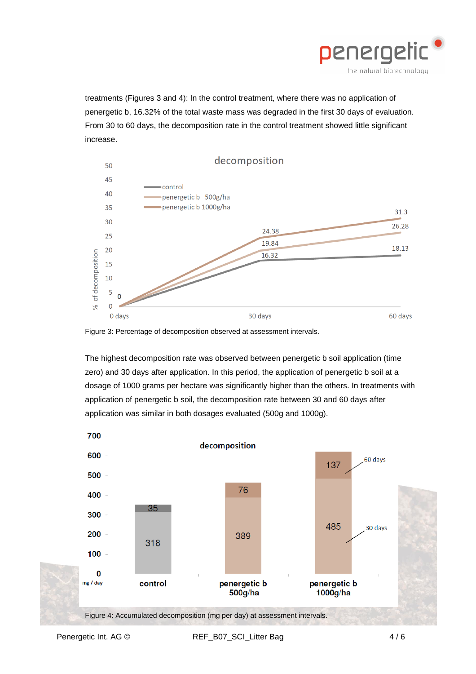

treatments (Figures 3 and 4): In the control treatment, where there was no application of penergetic b, 16.32% of the total waste mass was degraded in the first 30 days of evaluation. From 30 to 60 days, the decomposition rate in the control treatment showed little significant increase.



Figure 3: Percentage of decomposition observed at assessment intervals.

The highest decomposition rate was observed between penergetic b soil application (time zero) and 30 days after application. In this period, the application of penergetic b soil at a dosage of 1000 grams per hectare was significantly higher than the others. In treatments with application of penergetic b soil, the decomposition rate between 30 and 60 days after application was similar in both dosages evaluated (500g and 1000g).

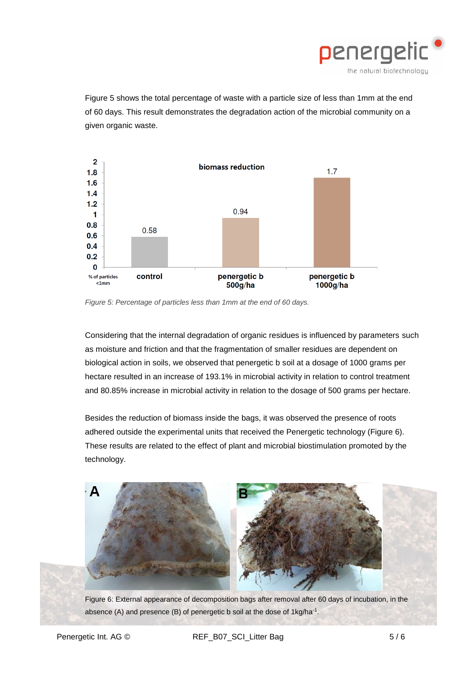

Figure 5 shows the total percentage of waste with a particle size of less than 1mm at the end of 60 days. This result demonstrates the degradation action of the microbial community on a given organic waste.



*Figure 5: Percentage of particles less than 1mm at the end of 60 days.* 

Considering that the internal degradation of organic residues is influenced by parameters such as moisture and friction and that the fragmentation of smaller residues are dependent on biological action in soils, we observed that penergetic b soil at a dosage of 1000 grams per hectare resulted in an increase of 193.1% in microbial activity in relation to control treatment and 80.85% increase in microbial activity in relation to the dosage of 500 grams per hectare.

Besides the reduction of biomass inside the bags, it was observed the presence of roots adhered outside the experimental units that received the Penergetic technology (Figure 6). These results are related to the effect of plant and microbial biostimulation promoted by the technology.



Figure 6: External appearance of decomposition bags after removal after 60 days of incubation, in the absence (A) and presence (B) of penergetic b soil at the dose of  $1 \text{kg/ha}^{-1}$ .